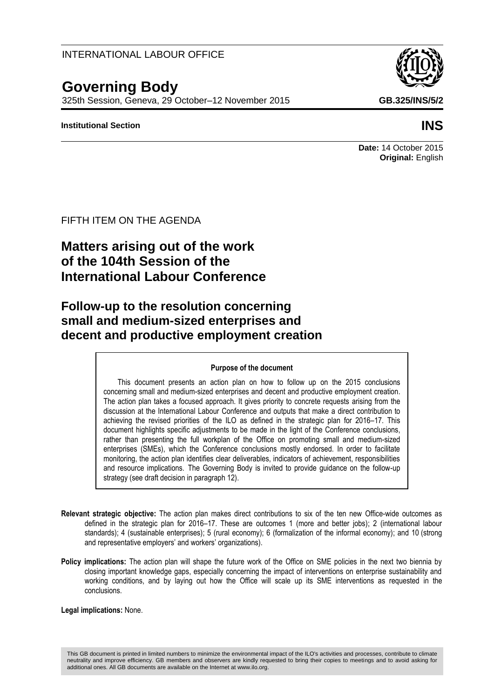### INTERNATIONAL LABOUR OFFICE

# **Governing Body**

325th Session, Geneva, 29 October–12 November 2015 **GB.325/INS/5/2**

### **Institutional Section INS**



## **Date:** 14 October 2015 **Original:** English

### FIFTH ITEM ON THE AGENDA

# **Matters arising out of the work of the 104th Session of the International Labour Conference**

# **Follow-up to the resolution concerning small and medium-sized enterprises and decent and productive employment creation**

#### **Purpose of the document**

This document presents an action plan on how to follow up on the 2015 conclusions concerning small and medium-sized enterprises and decent and productive employment creation. The action plan takes a focused approach. It gives priority to concrete requests arising from the discussion at the International Labour Conference and outputs that make a direct contribution to achieving the revised priorities of the ILO as defined in the strategic plan for 2016–17. This document highlights specific adjustments to be made in the light of the Conference conclusions, rather than presenting the full workplan of the Office on promoting small and medium-sized enterprises (SMEs), which the Conference conclusions mostly endorsed. In order to facilitate monitoring, the action plan identifies clear deliverables, indicators of achievement, responsibilities and resource implications. The Governing Body is invited to provide guidance on the follow-up strategy (see draft decision in paragraph 12).

- **Relevant strategic objective:** The action plan makes direct contributions to six of the ten new Office-wide outcomes as defined in the strategic plan for 2016–17. These are outcomes 1 (more and better jobs); 2 (international labour standards); 4 (sustainable enterprises); 5 (rural economy); 6 (formalization of the informal economy); and 10 (strong and representative employers' and workers' organizations).
- **Policy implications:** The action plan will shape the future work of the Office on SME policies in the next two biennia by closing important knowledge gaps, especially concerning the impact of interventions on enterprise sustainability and working conditions, and by laying out how the Office will scale up its SME interventions as requested in the conclusions.

#### **Legal implications:** None.

This GB document is printed in limited numbers to minimize the environmental impact of the ILO's activities and processes, contribute to climate neutrality and improve efficiency. GB members and observers are kindly requested to bring their copies to meetings and to avoid asking for additional ones. All GB documents are available on the Internet at www.ilo.org.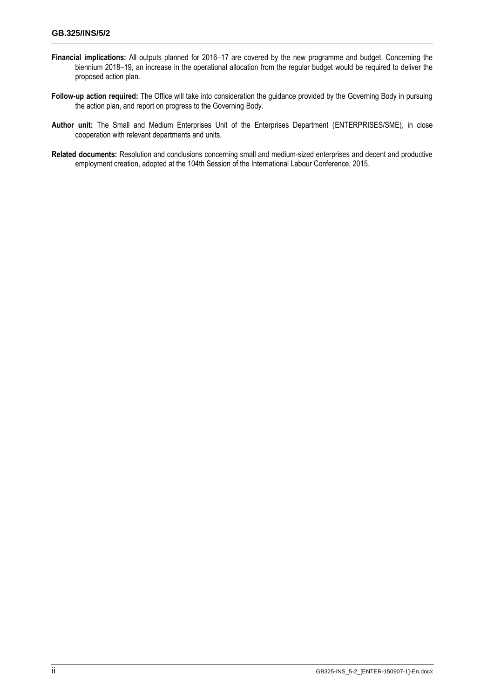- **Financial implications:** All outputs planned for 2016–17 are covered by the new programme and budget. Concerning the biennium 2018–19, an increase in the operational allocation from the regular budget would be required to deliver the proposed action plan.
- **Follow-up action required:** The Office will take into consideration the guidance provided by the Governing Body in pursuing the action plan, and report on progress to the Governing Body.
- **Author unit:** The Small and Medium Enterprises Unit of the Enterprises Department (ENTERPRISES/SME), in close cooperation with relevant departments and units.
- **Related documents:** Resolution and conclusions concerning small and medium-sized enterprises and decent and productive employment creation, adopted at the 104th Session of the International Labour Conference, 2015.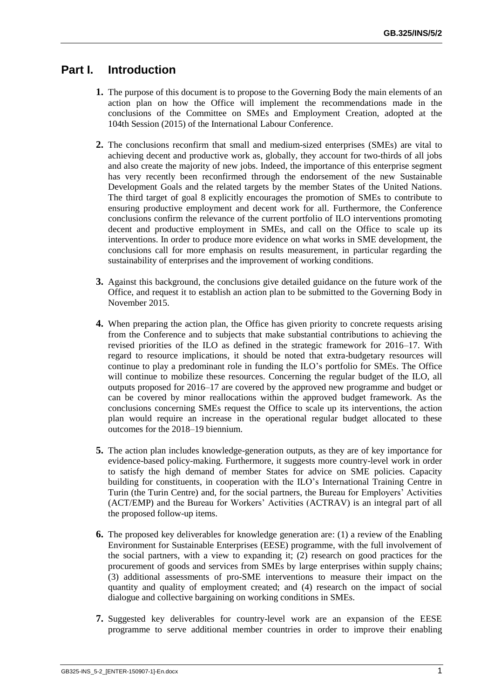## **Part I. Introduction**

- **1.** The purpose of this document is to propose to the Governing Body the main elements of an action plan on how the Office will implement the recommendations made in the conclusions of the Committee on SMEs and Employment Creation, adopted at the 104th Session (2015) of the International Labour Conference.
- **2.** The conclusions reconfirm that small and medium-sized enterprises (SMEs) are vital to achieving decent and productive work as, globally, they account for two-thirds of all jobs and also create the majority of new jobs. Indeed, the importance of this enterprise segment has very recently been reconfirmed through the endorsement of the new Sustainable Development Goals and the related targets by the member States of the United Nations. The third target of goal 8 explicitly encourages the promotion of SMEs to contribute to ensuring productive employment and decent work for all. Furthermore, the Conference conclusions confirm the relevance of the current portfolio of ILO interventions promoting decent and productive employment in SMEs, and call on the Office to scale up its interventions. In order to produce more evidence on what works in SME development, the conclusions call for more emphasis on results measurement, in particular regarding the sustainability of enterprises and the improvement of working conditions.
- **3.** Against this background, the conclusions give detailed guidance on the future work of the Office, and request it to establish an action plan to be submitted to the Governing Body in November 2015.
- **4.** When preparing the action plan, the Office has given priority to concrete requests arising from the Conference and to subjects that make substantial contributions to achieving the revised priorities of the ILO as defined in the strategic framework for 2016–17. With regard to resource implications, it should be noted that extra-budgetary resources will continue to play a predominant role in funding the ILO's portfolio for SMEs. The Office will continue to mobilize these resources. Concerning the regular budget of the ILO, all outputs proposed for 2016–17 are covered by the approved new programme and budget or can be covered by minor reallocations within the approved budget framework. As the conclusions concerning SMEs request the Office to scale up its interventions, the action plan would require an increase in the operational regular budget allocated to these outcomes for the 2018–19 biennium.
- **5.** The action plan includes knowledge-generation outputs, as they are of key importance for evidence-based policy-making. Furthermore, it suggests more country-level work in order to satisfy the high demand of member States for advice on SME policies. Capacity building for constituents, in cooperation with the ILO's International Training Centre in Turin (the Turin Centre) and, for the social partners, the Bureau for Employers' Activities (ACT/EMP) and the Bureau for Workers' Activities (ACTRAV) is an integral part of all the proposed follow-up items.
- **6.** The proposed key deliverables for knowledge generation are: (1) a review of the Enabling Environment for Sustainable Enterprises (EESE) programme, with the full involvement of the social partners, with a view to expanding it; (2) research on good practices for the procurement of goods and services from SMEs by large enterprises within supply chains; (3) additional assessments of pro-SME interventions to measure their impact on the quantity and quality of employment created; and (4) research on the impact of social dialogue and collective bargaining on working conditions in SMEs.
- **7.** Suggested key deliverables for country-level work are an expansion of the EESE programme to serve additional member countries in order to improve their enabling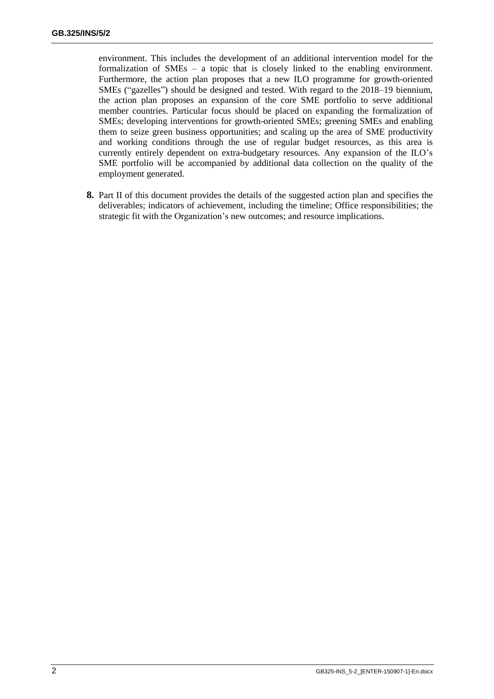environment. This includes the development of an additional intervention model for the formalization of SMEs – a topic that is closely linked to the enabling environment. Furthermore, the action plan proposes that a new ILO programme for growth-oriented SMEs ("gazelles") should be designed and tested. With regard to the 2018–19 biennium, the action plan proposes an expansion of the core SME portfolio to serve additional member countries. Particular focus should be placed on expanding the formalization of SMEs; developing interventions for growth-oriented SMEs; greening SMEs and enabling them to seize green business opportunities; and scaling up the area of SME productivity and working conditions through the use of regular budget resources, as this area is currently entirely dependent on extra-budgetary resources. Any expansion of the ILO's SME portfolio will be accompanied by additional data collection on the quality of the employment generated.

**8.** Part II of this document provides the details of the suggested action plan and specifies the deliverables; indicators of achievement, including the timeline; Office responsibilities; the strategic fit with the Organization's new outcomes; and resource implications.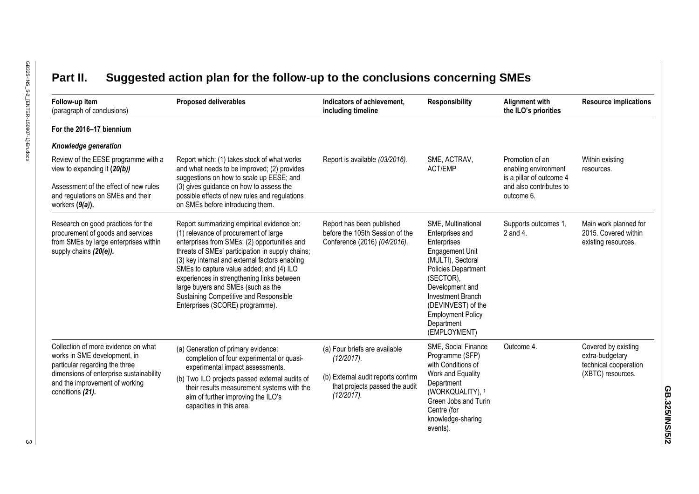# **Part II. Suggested action plan for the follow-up to the conclusions concerning SMEs**

| Follow-up item<br>(paragraph of conclusions)                                                                                                                                                           | <b>Proposed deliverables</b>                                                                                                                                                                                                                                                                                                                                                                                                                          | Indicators of achievement,<br>including timeline                                                                                     | <b>Responsibility</b>                                                                                                                                                                                                                                                  | <b>Alignment with</b><br>the ILO's priorities                                                                | <b>Resource implications</b>                                                         |
|--------------------------------------------------------------------------------------------------------------------------------------------------------------------------------------------------------|-------------------------------------------------------------------------------------------------------------------------------------------------------------------------------------------------------------------------------------------------------------------------------------------------------------------------------------------------------------------------------------------------------------------------------------------------------|--------------------------------------------------------------------------------------------------------------------------------------|------------------------------------------------------------------------------------------------------------------------------------------------------------------------------------------------------------------------------------------------------------------------|--------------------------------------------------------------------------------------------------------------|--------------------------------------------------------------------------------------|
| For the 2016-17 biennium                                                                                                                                                                               |                                                                                                                                                                                                                                                                                                                                                                                                                                                       |                                                                                                                                      |                                                                                                                                                                                                                                                                        |                                                                                                              |                                                                                      |
| Knowledge generation                                                                                                                                                                                   |                                                                                                                                                                                                                                                                                                                                                                                                                                                       |                                                                                                                                      |                                                                                                                                                                                                                                                                        |                                                                                                              |                                                                                      |
| Review of the EESE programme with a<br>view to expanding it (20(b))                                                                                                                                    | Report which: (1) takes stock of what works<br>and what needs to be improved; (2) provides<br>suggestions on how to scale up EESE; and<br>(3) gives guidance on how to assess the<br>possible effects of new rules and regulations<br>on SMEs before introducing them.                                                                                                                                                                                | Report is available (03/2016).                                                                                                       | SME, ACTRAV,<br><b>ACT/EMP</b>                                                                                                                                                                                                                                         | Promotion of an<br>enabling environment<br>is a pillar of outcome 4<br>and also contributes to<br>outcome 6. | Within existing<br>resources.                                                        |
| Assessment of the effect of new rules<br>and regulations on SMEs and their<br>workers $(9(a))$ .                                                                                                       |                                                                                                                                                                                                                                                                                                                                                                                                                                                       |                                                                                                                                      |                                                                                                                                                                                                                                                                        |                                                                                                              |                                                                                      |
| Research on good practices for the<br>procurement of goods and services<br>from SMEs by large enterprises within<br>supply chains (20(e)).                                                             | Report summarizing empirical evidence on:<br>(1) relevance of procurement of large<br>enterprises from SMEs; (2) opportunities and<br>threats of SMEs' participation in supply chains;<br>(3) key internal and external factors enabling<br>SMEs to capture value added; and (4) ILO<br>experiences in strengthening links between<br>large buyers and SMEs (such as the<br>Sustaining Competitive and Responsible<br>Enterprises (SCORE) programme). | Report has been published<br>before the 105th Session of the<br>Conference (2016) (04/2016).                                         | SME, Multinational<br>Enterprises and<br>Enterprises<br><b>Engagement Unit</b><br>(MULTI), Sectoral<br>Policies Department<br>(SECTOR),<br>Development and<br><b>Investment Branch</b><br>(DEVINVEST) of the<br><b>Employment Policy</b><br>Department<br>(EMPLOYMENT) | Supports outcomes 1,<br>2 and 4.                                                                             | Main work planned for<br>2015. Covered within<br>existing resources.                 |
| Collection of more evidence on what<br>works in SME development, in<br>particular regarding the three<br>dimensions of enterprise sustainability<br>and the improvement of working<br>conditions (21). | (a) Generation of primary evidence:<br>completion of four experimental or quasi-<br>experimental impact assessments.<br>(b) Two ILO projects passed external audits of<br>their results measurement systems with the<br>aim of further improving the ILO's<br>capacities in this area.                                                                                                                                                                | (a) Four briefs are available<br>$(12/2017)$ .<br>(b) External audit reports confirm<br>that projects passed the audit<br>(12/2017). | SME, Social Finance<br>Programme (SFP)<br>with Conditions of<br>Work and Equality<br>Department<br>(WORKQUALITY), 1<br>Green Jobs and Turin<br>Centre (for<br>knowledge-sharing<br>events)                                                                             | Outcome 4.                                                                                                   | Covered by existing<br>extra-budgetary<br>technical cooperation<br>(XBTC) resources. |

**GB.325/INS/5/2**

GB.325/INS/5/2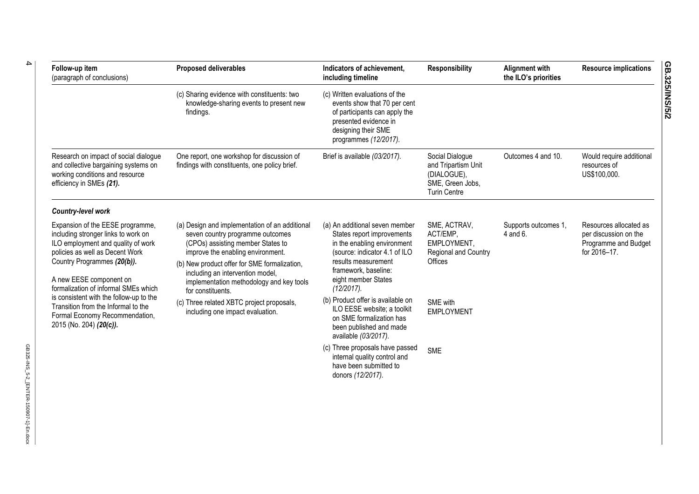| Follow-up item<br>(paragraph of conclusions)                                                                                                                                                                                                                                                                                                                                                      | <b>Proposed deliverables</b>                                                                                                                                                                                                                                                                                      | Indicators of achievement,<br>including timeline                                                                                                                                                                 | <b>Responsibility</b>                                                                            | Alignment with<br>the ILO's priorities | <b>Resource implications</b>                                                            |
|---------------------------------------------------------------------------------------------------------------------------------------------------------------------------------------------------------------------------------------------------------------------------------------------------------------------------------------------------------------------------------------------------|-------------------------------------------------------------------------------------------------------------------------------------------------------------------------------------------------------------------------------------------------------------------------------------------------------------------|------------------------------------------------------------------------------------------------------------------------------------------------------------------------------------------------------------------|--------------------------------------------------------------------------------------------------|----------------------------------------|-----------------------------------------------------------------------------------------|
|                                                                                                                                                                                                                                                                                                                                                                                                   | (c) Sharing evidence with constituents: two<br>knowledge-sharing events to present new<br>findings.                                                                                                                                                                                                               | (c) Written evaluations of the<br>events show that 70 per cent<br>of participants can apply the<br>presented evidence in<br>designing their SME<br>programmes (12/2017).                                         |                                                                                                  |                                        |                                                                                         |
| Research on impact of social dialogue<br>and collective bargaining systems on<br>working conditions and resource<br>efficiency in SMEs (21).                                                                                                                                                                                                                                                      | One report, one workshop for discussion of<br>findings with constituents, one policy brief.                                                                                                                                                                                                                       | Brief is available (03/2017).                                                                                                                                                                                    | Social Dialogue<br>and Tripartism Unit<br>(DIALOGUE),<br>SME, Green Jobs,<br><b>Turin Centre</b> | Outcomes 4 and 10.                     | Would require additional<br>resources of<br>US\$100,000.                                |
| Country-level work                                                                                                                                                                                                                                                                                                                                                                                |                                                                                                                                                                                                                                                                                                                   |                                                                                                                                                                                                                  |                                                                                                  |                                        |                                                                                         |
| Expansion of the EESE programme,<br>including stronger links to work on<br>ILO employment and quality of work<br>policies as well as Decent Work<br>Country Programmes (20(b)).<br>A new EESE component on<br>formalization of informal SMEs which<br>is consistent with the follow-up to the<br>Transition from the Informal to the<br>Formal Economy Recommendation,<br>2015 (No. 204) (20(c)). | (a) Design and implementation of an additional<br>seven country programme outcomes<br>(CPOs) assisting member States to<br>improve the enabling environment.<br>(b) New product offer for SME formalization,<br>including an intervention model,<br>implementation methodology and key tools<br>for constituents. | (a) An additional seven member<br>States report improvements<br>in the enabling environment<br>(source: indicator 4.1 of ILO<br>results measurement<br>framework, baseline:<br>eight member States<br>(12/2017). | SME, ACTRAV,<br>ACT/EMP,<br>EMPLOYMENT,<br>Regional and Country<br>Offices                       | Supports outcomes 1,<br>4 and 6.       | Resources allocated as<br>per discussion on the<br>Programme and Budget<br>for 2016-17. |
|                                                                                                                                                                                                                                                                                                                                                                                                   | (c) Three related XBTC project proposals,<br>including one impact evaluation.                                                                                                                                                                                                                                     | (b) Product offer is available on<br>ILO EESE website; a toolkit<br>on SME formalization has<br>been published and made<br>available (03/2017).                                                                  | SME with<br>EMPLOYMENT                                                                           |                                        |                                                                                         |
|                                                                                                                                                                                                                                                                                                                                                                                                   |                                                                                                                                                                                                                                                                                                                   | (c) Three proposals have passed<br>internal quality control and<br>have been submitted to<br>donors (12/2017).                                                                                                   | <b>SME</b>                                                                                       |                                        |                                                                                         |

4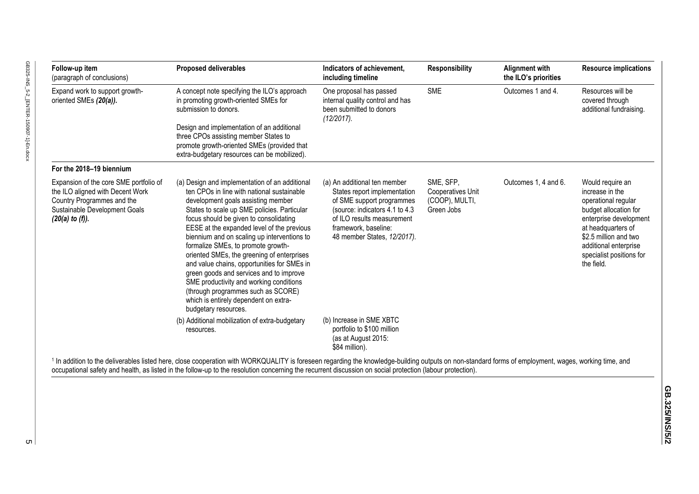| Follow-up item<br>(paragraph of conclusions)                                                                                                                 | <b>Proposed deliverables</b>                                                                                                                                                                                                                                                                                                                                                                                                                                                                                                                                                                                                                             | Indicators of achievement,<br>including timeline                                                                                                                                                                  | <b>Responsibility</b>                                                 | <b>Alignment with</b><br>the ILO's priorities | <b>Resource implications</b>                                                                                                                                                                                                    |
|--------------------------------------------------------------------------------------------------------------------------------------------------------------|----------------------------------------------------------------------------------------------------------------------------------------------------------------------------------------------------------------------------------------------------------------------------------------------------------------------------------------------------------------------------------------------------------------------------------------------------------------------------------------------------------------------------------------------------------------------------------------------------------------------------------------------------------|-------------------------------------------------------------------------------------------------------------------------------------------------------------------------------------------------------------------|-----------------------------------------------------------------------|-----------------------------------------------|---------------------------------------------------------------------------------------------------------------------------------------------------------------------------------------------------------------------------------|
| Expand work to support growth-<br>oriented SMEs (20(a)).                                                                                                     | A concept note specifying the ILO's approach<br>in promoting growth-oriented SMEs for<br>submission to donors.                                                                                                                                                                                                                                                                                                                                                                                                                                                                                                                                           | One proposal has passed<br>internal quality control and has<br>been submitted to donors<br>(12/2017).                                                                                                             | <b>SME</b>                                                            | Outcomes 1 and 4.                             | Resources will be<br>covered through<br>additional fundraising.                                                                                                                                                                 |
|                                                                                                                                                              | Design and implementation of an additional<br>three CPOs assisting member States to<br>promote growth-oriented SMEs (provided that<br>extra-budgetary resources can be mobilized).                                                                                                                                                                                                                                                                                                                                                                                                                                                                       |                                                                                                                                                                                                                   |                                                                       |                                               |                                                                                                                                                                                                                                 |
| For the 2018-19 biennium                                                                                                                                     |                                                                                                                                                                                                                                                                                                                                                                                                                                                                                                                                                                                                                                                          |                                                                                                                                                                                                                   |                                                                       |                                               |                                                                                                                                                                                                                                 |
| Expansion of the core SME portfolio of<br>the ILO aligned with Decent Work<br>Country Programmes and the<br>Sustainable Development Goals<br>(20(a) to (f)). | (a) Design and implementation of an additional<br>ten CPOs in line with national sustainable<br>development goals assisting member<br>States to scale up SME policies. Particular<br>focus should be given to consolidating<br>EESE at the expanded level of the previous<br>biennium and on scaling up interventions to<br>formalize SMEs, to promote growth-<br>oriented SMEs, the greening of enterprises<br>and value chains, opportunities for SMEs in<br>green goods and services and to improve<br>SME productivity and working conditions<br>(through programmes such as SCORE)<br>which is entirely dependent on extra-<br>budgetary resources. | (a) An additional ten member<br>States report implementation<br>of SME support programmes<br>(source: indicators 4.1 to 4.3)<br>of ILO results measurement<br>framework, baseline:<br>48 member States, 12/2017). | SME, SFP,<br><b>Cooperatives Unit</b><br>(COOP), MULTI,<br>Green Jobs | Outcomes 1, 4 and 6.                          | Would require an<br>increase in the<br>operational regular<br>budget allocation for<br>enterprise development<br>at headquarters of<br>\$2.5 million and two<br>additional enterprise<br>specialist positions for<br>the field. |
|                                                                                                                                                              | (b) Additional mobilization of extra-budgetary<br>resources.                                                                                                                                                                                                                                                                                                                                                                                                                                                                                                                                                                                             | (b) Increase in SME XBTC<br>portfolio to \$100 million<br>(as at August 2015:<br>\$84 million).                                                                                                                   |                                                                       |                                               |                                                                                                                                                                                                                                 |
|                                                                                                                                                              | $\cdots$ $\sim$ $\sim$                                                                                                                                                                                                                                                                                                                                                                                                                                                                                                                                                                                                                                   | .                                                                                                                                                                                                                 |                                                                       |                                               |                                                                                                                                                                                                                                 |

<sup>1</sup> In addition to the deliverables listed here, close cooperation with WORKQUALITY is foreseen regarding the knowledge-building outputs on non-standard forms of employment, wages, working time, and occupational safety and health, as listed in the follow-up to the resolution concerning the recurrent discussion on social protection (labour protection).